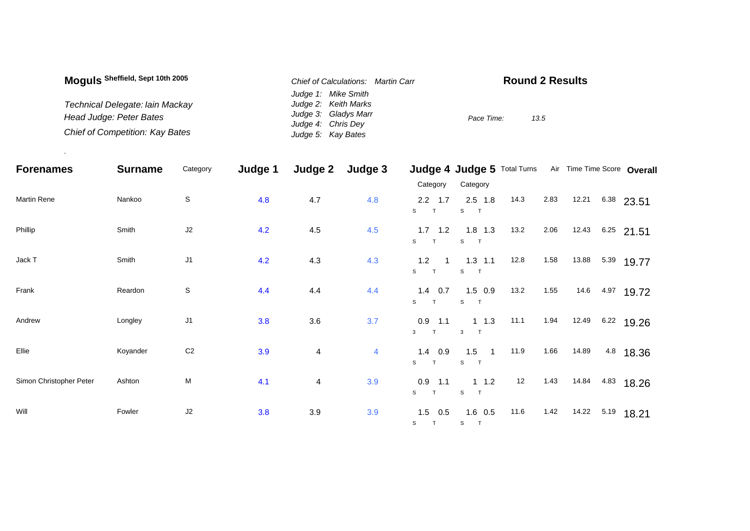| Moguls Sheffield, Sept 10th 2005 | Chief of Calculations: Martin Carr       | <b>Round 2 Results</b> |  |  |  |  |  |
|----------------------------------|------------------------------------------|------------------------|--|--|--|--|--|
|                                  | Judge 1: Mike Smith                      |                        |  |  |  |  |  |
| Technical Delegate: Iain Mackay  | Judge 2: Keith Marks                     |                        |  |  |  |  |  |
| Head Judge: Peter Bates          | Judge 3: Gladys Marr                     | 13.5<br>Pace Time:     |  |  |  |  |  |
| Chief of Competition: Kay Bates  | Judge 4: Chris Dey<br>Judge 5: Kay Bates |                        |  |  |  |  |  |

.

| <b>Forenames</b>        | <b>Surname</b> | Category       | Judge 1 | Judge 2        | Judge 3 |                                                      | Judge 4 Judge 5 Total Turns Air Time Time Score Overall |      |      |       |                 |
|-------------------------|----------------|----------------|---------|----------------|---------|------------------------------------------------------|---------------------------------------------------------|------|------|-------|-----------------|
|                         |                |                |         |                |         | Category                                             | Category                                                |      |      |       |                 |
| Martin Rene             | Nankoo         | $\mathbb S$    | 4.8     | 4.7            | 4.8     | $2.2$ 1.7<br>S<br>T                                  | $2.5$ 1.8<br>S<br>$\top$                                | 14.3 | 2.83 | 12.21 | $6.38$ 23.51    |
| Phillip                 | Smith          | J2             | 4.2     | 4.5            | 4.5     | 1.7<br>1.2<br>S<br>$\top$                            | $1.8$ 1.3<br>S T                                        | 13.2 | 2.06 | 12.43 | $6.25$ 21.51    |
| Jack T                  | Smith          | J <sub>1</sub> | 4.2     | 4.3            | 4.3     | 1.2<br>$\overline{\phantom{1}}$<br>S<br>$\mathsf{T}$ | $1.3$ 1.1<br>S<br>$\mathsf{T}$                          | 12.8 | 1.58 | 13.88 | $5.39$ 19.77    |
| Frank                   | Reardon        | $\mathbb S$    | 4.4     | 4.4            | 4.4     | $1.4\quad 0.7$<br>S<br>T                             | $1.5$ 0.9<br>S<br>$\mathsf{T}$                          | 13.2 | 1.55 |       | 14.6 4.97 19.72 |
| Andrew                  | Longley        | J1             | 3.8     | 3.6            | 3.7     | $0.9$ 1.1<br>$3$ T                                   | $1 \t1.3$<br>$\mathbf{3}$<br>$\top$                     | 11.1 | 1.94 | 12.49 | $6.22$ 19.26    |
| Ellie                   | Koyander       | $\mbox{C2}$    | 3.9     | $\overline{4}$ | 4       | $1.4$ 0.9<br>S<br>T                                  | $1.5$ 1<br>S<br>$\mathbf{T}$                            | 11.9 | 1.66 | 14.89 | 4.8 18.36       |
| Simon Christopher Peter | Ashton         | M              | 4.1     | 4              | 3.9     | $0.9$ 1.1<br>S<br>$\mathsf{T}$                       | $1 \t1.2$<br>${\tt S}$<br>$\top$                        | 12   | 1.43 | 14.84 | 4.83 18.26      |
| Will                    | Fowler         | J2             | 3.8     | 3.9            | 3.9     | $1.5$ 0.5                                            | $1.6$ 0.5<br>ST ST                                      | 11.6 | 1.42 | 14.22 | $5.19$ 18.21    |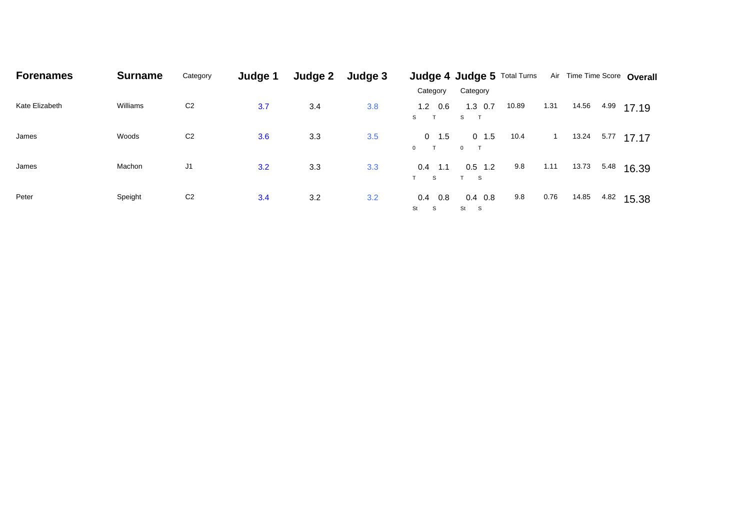| <b>Forenames</b> | <b>Surname</b> | Category       | Judge 1 | Judge 2 | Judge 3 | Category                             | <b>Judge 4 Judge 5 Total Turns</b><br>Category |       |      |       |      | Air Time Time Score Overall |
|------------------|----------------|----------------|---------|---------|---------|--------------------------------------|------------------------------------------------|-------|------|-------|------|-----------------------------|
| Kate Elizabeth   | Williams       | C <sub>2</sub> | 3.7     | 3.4     | 3.8     | $1.2 \quad 0.6$<br>S T               | $1.3$ 0.7<br>S T                               | 10.89 | 1.31 | 14.56 | 4.99 | 17.19                       |
| James            | Woods          | C <sub>2</sub> | 3.6     | 3.3     | 3.5     | $0 \t 1.5$<br>$\top$<br>$\mathbf{0}$ | $0$ 1.5<br>$0$ T                               | 10.4  |      | 13.24 | 5.77 | 17.17                       |
| James            | Machon         | J1             | 3.2     | 3.3     | 3.3     | 0.4<br>1.1<br>T S                    | $0.5$ 1.2<br>T S                               | 9.8   | 1.11 | 13.73 | 5.48 | 16.39                       |
| Peter            | Speight        | C <sub>2</sub> | 3.4     | 3.2     | 3.2     | 0.4<br>0.8<br>St<br><b>S</b>         | $0.4\quad 0.8$<br>St S                         | 9.8   | 0.76 | 14.85 | 4.82 | 15.38                       |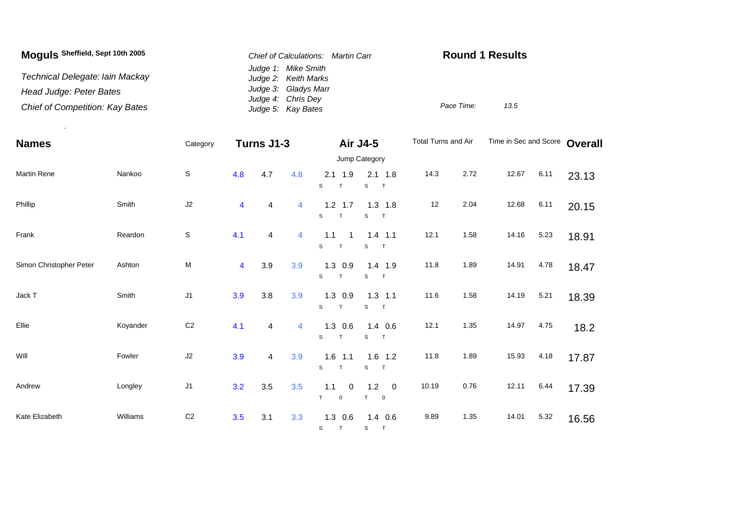| Moguls Sheffield, Sept 10th 2005 | Chief of Calculations: Martin Carr          | <b>Round 1 Results</b> |      |  |  |
|----------------------------------|---------------------------------------------|------------------------|------|--|--|
| Technical Delegate: Iain Mackay  | Judge 1: Mike Smith<br>Judge 2: Keith Marks |                        |      |  |  |
| Head Judge: Peter Bates          | Judge 3: Gladys Marr<br>Judge 4: Chris Dey  |                        |      |  |  |
| Chief of Competition: Kay Bates  | Judge 5: Kay Bates                          | Pace Time:             | 13.5 |  |  |

.

| <b>Names</b>            |          | Category       | Turns J1-3              |         |                |                               | <b>Air J4-5</b>                         | Total Turns and Air |      | Time in Sec and Score |      | Overall |  |
|-------------------------|----------|----------------|-------------------------|---------|----------------|-------------------------------|-----------------------------------------|---------------------|------|-----------------------|------|---------|--|
|                         |          |                |                         |         |                | Jump Category                 |                                         |                     |      |                       |      |         |  |
| <b>Martin Rene</b>      | Nankoo   | $\mathbb S$    | 4.8                     | 4.7     | 4.8            | $2.1$ 1.9<br>S<br>T           | $2.1$ 1.8<br>S<br>$\top$                | 14.3                | 2.72 | 12.67                 | 6.11 | 23.13   |  |
| Phillip                 | Smith    | J2             | 4                       | 4       | $\overline{4}$ | $1.2$ 1.7<br>S<br>$\top$      | $1.3$ 1.8<br>$\mathbb S$<br>T           | 12                  | 2.04 | 12.68                 | 6.11 | 20.15   |  |
| Frank                   | Reardon  | $\mathbb S$    | 4.1                     | 4       | 4              | 1.1<br>-1<br>$\mathbf S$<br>T | $1.4$ 1.1<br>S<br>T                     | 12.1                | 1.58 | 14.16                 | 5.23 | 18.91   |  |
| Simon Christopher Peter | Ashton   | ${\sf M}$      | $\overline{\mathbf{4}}$ | 3.9     | 3.9            | $1.3$ 0.9<br>S<br>T           | $1.4$ 1.9<br>S<br>T                     | 11.8                | 1.89 | 14.91                 | 4.78 | 18.47   |  |
| Jack T                  | Smith    | J <sub>1</sub> | 3.9                     | 3.8     | 3.9            | $1.3$ 0.9<br>S<br>T           | $1.3$ 1.1<br>$\mathbb S$<br>$\top$      | 11.6                | 1.58 | 14.19                 | 5.21 | 18.39   |  |
| Ellie                   | Koyander | C <sub>2</sub> | 4.1                     | 4       | $\overline{4}$ | $1.3$ 0.6<br>S<br>T           | $1.4$ 0.6<br>$\top$<br>S                | 12.1                | 1.35 | 14.97                 | 4.75 | 18.2    |  |
| Will                    | Fowler   | $\sf J2$       | 3.9                     | 4       | 3.9            | $1.6$ 1.1<br>s<br>T           | $1.6$ 1.2<br>S<br>T                     | 11.8                | 1.89 | 15.93                 | 4.18 | 17.87   |  |
| Andrew                  | Longley  | J <sub>1</sub> | 3.2                     | $3.5\,$ | 3.5            | 1.1<br>0<br>T.<br>0           | 1.2<br>$\mathbf 0$<br>T.<br>$\mathbf 0$ | 10.19               | 0.76 | 12.11                 | 6.44 | 17.39   |  |
| Kate Elizabeth          | Williams | C <sub>2</sub> | 3.5                     | 3.1     | 3.3            | $1.3$ 0.6<br>S T              | $1.4$ 0.6<br>S.<br>$\top$               | 9.89                | 1.35 | 14.01                 | 5.32 | 16.56   |  |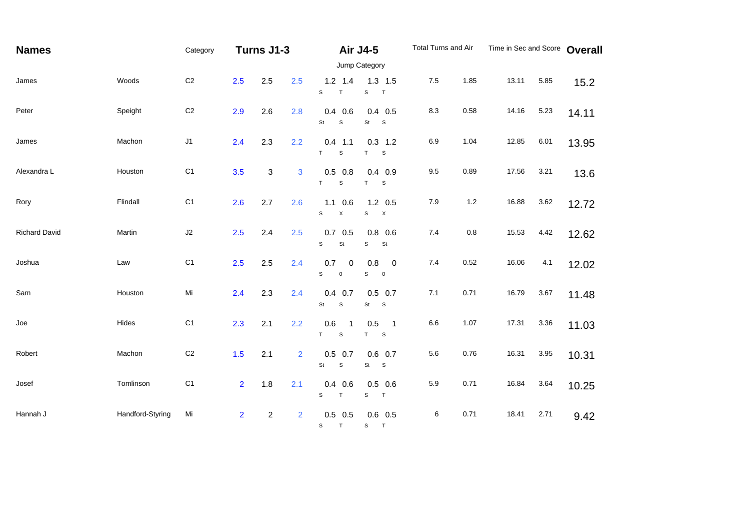| <b>Names</b>         |                  | Category       | Turns J1-3     |                  |                | Air J4-5                        |                                                                           | Total Turns and Air |         | Time in Sec and Score Overall |      |       |  |
|----------------------|------------------|----------------|----------------|------------------|----------------|---------------------------------|---------------------------------------------------------------------------|---------------------|---------|-------------------------------|------|-------|--|
|                      |                  |                |                |                  |                |                                 | Jump Category                                                             |                     |         |                               |      |       |  |
| James                | Woods            | $\mbox{C2}$    | 2.5            | 2.5              | 2.5            | $1.2$ 1.4<br>S<br>$\top$        | $1.3$ 1.5<br>$\mathbf S$<br>T                                             | $7.5\,$             | 1.85    | 13.11                         | 5.85 | 15.2  |  |
| Peter                | Speight          | C <sub>2</sub> | 2.9            | 2.6              | 2.8            | $0.4$ 0.6<br>$\mathbf S$<br>St  | $0.4$ 0.5<br>St<br>$\mathbf{s}$                                           | 8.3                 | 0.58    | 14.16                         | 5.23 | 14.11 |  |
| James                | Machon           | J1             | 2.4            | 2.3              | 2.2            | $0.4$ 1.1<br>$\mathsf{s}$<br>T. | $0.3$ 1.2<br>T<br>$\mathsf S$                                             | 6.9                 | 1.04    | 12.85                         | 6.01 | 13.95 |  |
| Alexandra L          | Houston          | C <sub>1</sub> | 3.5            | 3                | 3              | $0.5$ 0.8<br>T<br>$\mathbb S$   | $0.4$ 0.9<br>T<br>$\mathsf S$                                             | $9.5\,$             | 0.89    | 17.56                         | 3.21 | 13.6  |  |
| Rory                 | Flindall         | C1             | 2.6            | 2.7              | 2.6            | $1.1 \t0.6$<br>$\mathsf X$<br>S | $1.2 \quad 0.5$<br>$\mathbf S$<br>$\boldsymbol{\mathsf{X}}$               | 7.9                 | $1.2$   | 16.88                         | 3.62 | 12.72 |  |
| <b>Richard David</b> | Martin           | $\sf J2$       | 2.5            | 2.4              | 2.5            | $0.7\quad 0.5$<br>St<br>S       | $0.8\ 0.6$<br>$\mathbb S$<br>St                                           | 7.4                 | $0.8\,$ | 15.53                         | 4.42 | 12.62 |  |
| Joshua               | Law              | C <sub>1</sub> | 2.5            | 2.5              | 2.4            | 0.7<br>0<br>S<br>$\mathsf 0$    | 0.8<br>$\overline{\phantom{0}}$<br>$\mathbb S$<br>$\overline{\mathbf{0}}$ | 7.4                 | 0.52    | 16.06                         | 4.1  | 12.02 |  |
| Sam                  | Houston          | Mi             | 2.4            | 2.3              | 2.4            | $0.4$ 0.7<br>St<br>$\mathsf S$  | $0.5$ 0.7<br>St<br>$\mathbf{s}$                                           | 7.1                 | 0.71    | 16.79                         | 3.67 | 11.48 |  |
| Joe                  | Hides            | C <sub>1</sub> | 2.3            | 2.1              | 2.2            | 0.6<br>-1<br>T.<br>$\mathsf S$  | 0.5<br>$\overline{\phantom{0}}$ 1<br>T<br>$\mathsf S$                     | $6.6\,$             | 1.07    | 17.31                         | 3.36 | 11.03 |  |
| Robert               | Machon           | $\mbox{C2}$    | 1.5            | 2.1              | $\overline{2}$ | $0.5$ 0.7<br>$\mathsf S$<br>St  | $0.6$ 0.7<br>S<br>St                                                      | $5.6\,$             | 0.76    | 16.31                         | 3.95 | 10.31 |  |
| Josef                | Tomlinson        | C <sub>1</sub> | 2 <sup>1</sup> | 1.8              | 2.1            | $0.4$ 0.6<br>S<br>$\top$        | $0.5$ 0.6<br>S<br>T                                                       | 5.9                 | 0.71    | 16.84                         | 3.64 | 10.25 |  |
| Hannah J             | Handford-Styring | Mi             | $\overline{2}$ | $\boldsymbol{2}$ | $\overline{2}$ | $0.5$ 0.5<br>S T                | $0.6$ 0.5<br>S T                                                          | $\,6$               | 0.71    | 18.41                         | 2.71 | 9.42  |  |